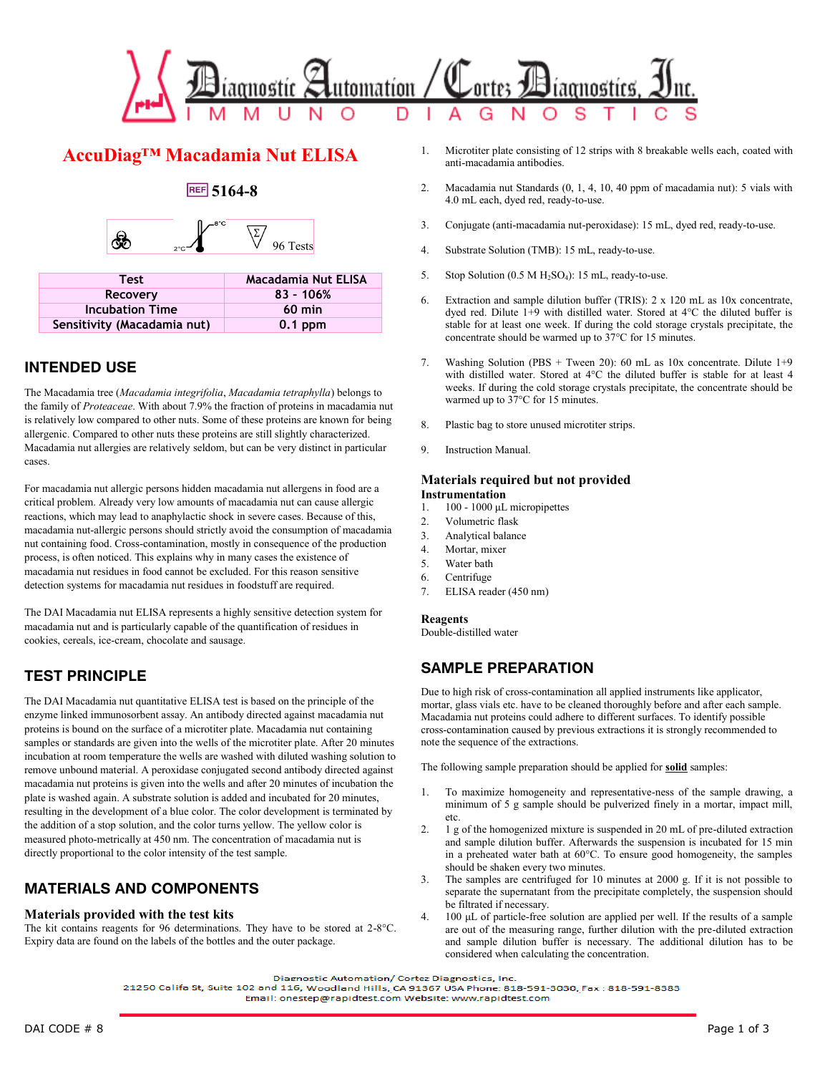

# **AccuDiag™ Macadamia Nut ELISA**

## **5164-8**



| <b>Test</b>                 | Macadamia Nut ELISA |
|-----------------------------|---------------------|
| Recovery                    | $83 - 106%$         |
| <b>Incubation Time</b>      | $60$ min            |
| Sensitivity (Macadamia nut) | $0.1$ ppm           |

## **INTENDED USE**

The Macadamia tree (*Macadamia integrifolia*, *Macadamia tetraphylla*) belongs to the family of *Proteaceae*. With about 7.9% the fraction of proteins in macadamia nut is relatively low compared to other nuts. Some of these proteins are known for being allergenic. Compared to other nuts these proteins are still slightly characterized. Macadamia nut allergies are relatively seldom, but can be very distinct in particular cases.

For macadamia nut allergic persons hidden macadamia nut allergens in food are a critical problem. Already very low amounts of macadamia nut can cause allergic reactions, which may lead to anaphylactic shock in severe cases. Because of this, macadamia nut-allergic persons should strictly avoid the consumption of macadamia nut containing food. Cross-contamination, mostly in consequence of the production process, is often noticed. This explains why in many cases the existence of macadamia nut residues in food cannot be excluded. For this reason sensitive detection systems for macadamia nut residues in foodstuff are required.

The DAI Macadamia nut ELISA represents a highly sensitive detection system for macadamia nut and is particularly capable of the quantification of residues in cookies, cereals, ice-cream, chocolate and sausage.

## **TEST PRINCIPLE**

The DAI Macadamia nut quantitative ELISA test is based on the principle of the enzyme linked immunosorbent assay. An antibody directed against macadamia nut proteins is bound on the surface of a microtiter plate. Macadamia nut containing samples or standards are given into the wells of the microtiter plate. After 20 minutes incubation at room temperature the wells are washed with diluted washing solution to remove unbound material. A peroxidase conjugated second antibody directed against macadamia nut proteins is given into the wells and after 20 minutes of incubation the plate is washed again. A substrate solution is added and incubated for 20 minutes, resulting in the development of a blue color. The color development is terminated by the addition of a stop solution, and the color turns yellow. The yellow color is measured photo-metrically at 450 nm. The concentration of macadamia nut is directly proportional to the color intensity of the test sample.

## **MATERIALS AND COMPONENTS**

### **Materials provided with the test kits**

The kit contains reagents for 96 determinations. They have to be stored at 2-8°C. Expiry data are found on the labels of the bottles and the outer package.

- 1. Microtiter plate consisting of 12 strips with 8 breakable wells each, coated with anti-macadamia antibodies.
- 2. Macadamia nut Standards (0, 1, 4, 10, 40 ppm of macadamia nut): 5 vials with 4.0 mL each, dyed red, ready-to-use.
- 3. Conjugate (anti-macadamia nut-peroxidase): 15 mL, dyed red, ready-to-use.
- 4. Substrate Solution (TMB): 15 mL, ready-to-use.
- 5. Stop Solution  $(0.5 M H_2SO_4)$ : 15 mL, ready-to-use.
- 6. Extraction and sample dilution buffer (TRIS): 2 x 120 mL as 10x concentrate, dyed red. Dilute 1+9 with distilled water. Stored at 4°C the diluted buffer is stable for at least one week. If during the cold storage crystals precipitate, the concentrate should be warmed up to 37°C for 15 minutes.
- 7. Washing Solution (PBS + Tween 20): 60 mL as 10x concentrate. Dilute 1+9 with distilled water. Stored at 4°C the diluted buffer is stable for at least 4 weeks. If during the cold storage crystals precipitate, the concentrate should be warmed up to 37°C for 15 minutes.
- 8. Plastic bag to store unused microtiter strips.
- 9. Instruction Manual.

### **Materials required but not provided Instrumentation**

- 1. 100 1000 μL micropipettes
- 2. Volumetric flask
- 3. Analytical balance
- 4. Mortar, mixer
- 5. Water bath
- 6. Centrifuge
- 7. ELISA reader (450 nm)

### **Reagents**

Double-distilled water

## **SAMPLE PREPARATION**

Due to high risk of cross-contamination all applied instruments like applicator, mortar, glass vials etc. have to be cleaned thoroughly before and after each sample. Macadamia nut proteins could adhere to different surfaces. To identify possible cross-contamination caused by previous extractions it is strongly recommended to note the sequence of the extractions.

The following sample preparation should be applied for **solid** samples:

- 1. To maximize homogeneity and representative-ness of the sample drawing, a minimum of 5 g sample should be pulverized finely in a mortar, impact mill, etc.
- 2. 1 g of the homogenized mixture is suspended in 20 mL of pre-diluted extraction and sample dilution buffer. Afterwards the suspension is incubated for 15 min in a preheated water bath at 60°C. To ensure good homogeneity, the samples should be shaken every two minutes.
- 3. The samples are centrifuged for 10 minutes at 2000 g. If it is not possible to separate the supernatant from the precipitate completely, the suspension should be filtrated if necessary.
- 4. 100 μL of particle-free solution are applied per well. If the results of a sample are out of the measuring range, further dilution with the pre-diluted extraction and sample dilution buffer is necessary. The additional dilution has to be considered when calculating the concentration.

Diagnostic Automation/ Cortez Diagnostics, Inc.

21250 Califa St, Suite 102 and 116, Woodland Hills, CA 91367 USA Phone: 818-591-3030, Fax: 818-591-8383 Email: onestep@rapidtest.com Website: www.rapidtest.com

DAI CODE # 8 Page 1 of 3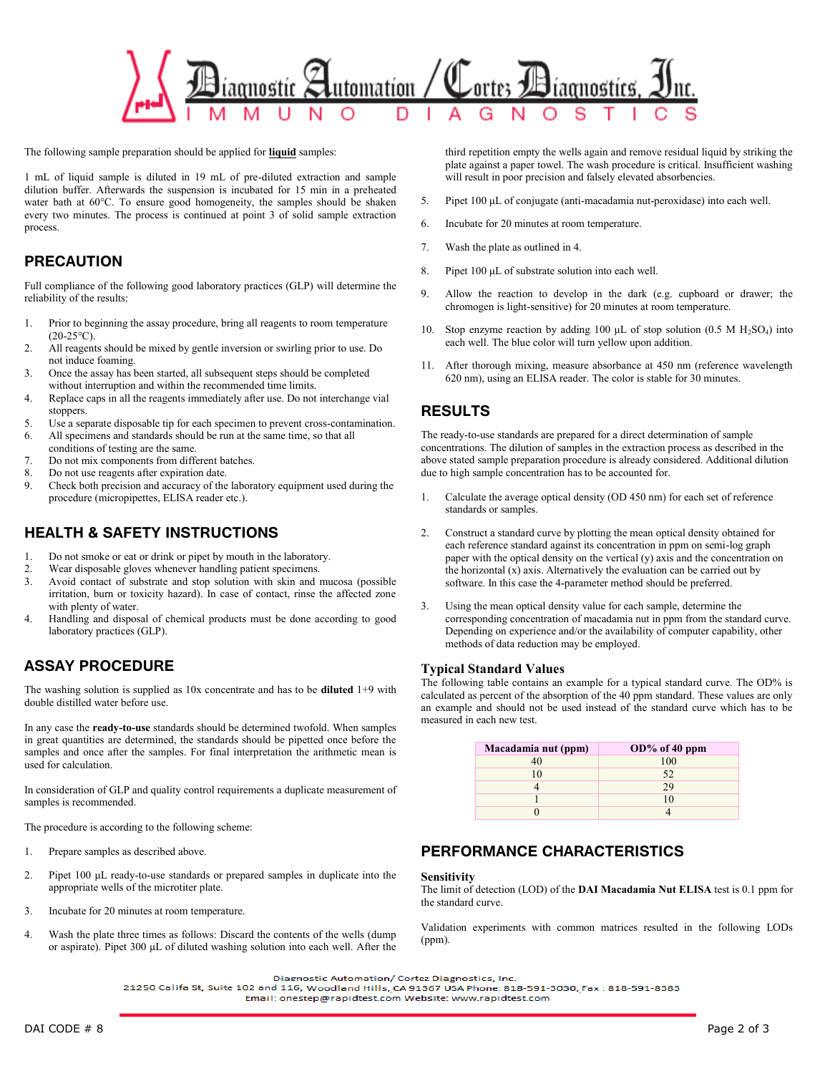

The following sample preparation should be applied for **liquid** samples:

1 mL of liquid sample is diluted in 19 mL of pre-diluted extraction and sample dilution buffer. Afterwards the suspension is incubated for 15 min in a preheated water bath at 60°C. To ensure good homogeneity, the samples should be shaken every two minutes. The process is continued at point 3 of solid sample extraction process.

## **PRECAUTION**

Full compliance of the following good laboratory practices (GLP) will determine the reliability of the results:

- 1. Prior to beginning the assay procedure, bring all reagents to room temperature  $(20-25°C)$
- 2. All reagents should be mixed by gentle inversion or swirling prior to use. Do not induce foaming.
- 3. Once the assay has been started, all subsequent steps should be completed without interruption and within the recommended time limits.
- 4. Replace caps in all the reagents immediately after use. Do not interchange vial stoppers.
- 5. Use a separate disposable tip for each specimen to prevent cross-contamination.
- All specimens and standards should be run at the same time, so that all
- conditions of testing are the same.
- 7. Do not mix components from different batches.
- 8. Do not use reagents after expiration date.
- 9. Check both precision and accuracy of the laboratory equipment used during the procedure (micropipettes, ELISA reader etc.).

## **HEALTH & SAFETY INSTRUCTIONS**

- 1. Do not smoke or eat or drink or pipet by mouth in the laboratory.
- 2. Wear disposable gloves whenever handling patient specimens.<br>3. Avoid contact of substrate and stop solution with skin and i
- Avoid contact of substrate and stop solution with skin and mucosa (possible irritation, burn or toxicity hazard). In case of contact, rinse the affected zone with plenty of water.
- 4. Handling and disposal of chemical products must be done according to good laboratory practices (GLP).

## **ASSAY PROCEDURE**

The washing solution is supplied as 10x concentrate and has to be **diluted** 1+9 with double distilled water before use.

In any case the **ready-to-use** standards should be determined twofold. When samples in great quantities are determined, the standards should be pipetted once before the samples and once after the samples. For final interpretation the arithmetic mean is used for calculation.

In consideration of GLP and quality control requirements a duplicate measurement of samples is recommended.

The procedure is according to the following scheme:

- 1. Prepare samples as described above.
- 2. Pipet 100 μL ready-to-use standards or prepared samples in duplicate into the appropriate wells of the microtiter plate.
- 3. Incubate for 20 minutes at room temperature.
- 4. Wash the plate three times as follows: Discard the contents of the wells (dump or aspirate). Pipet 300 μL of diluted washing solution into each well. After the

third repetition empty the wells again and remove residual liquid by striking the plate against a paper towel. The wash procedure is critical. Insufficient washing will result in poor precision and falsely elevated absorbencies.

- 5. Pipet 100 μL of conjugate (anti-macadamia nut-peroxidase) into each well.
- 6. Incubate for 20 minutes at room temperature.
- 7. Wash the plate as outlined in 4.
- 8. Pipet 100 μL of substrate solution into each well.
- 9. Allow the reaction to develop in the dark (e.g. cupboard or drawer; the chromogen is light-sensitive) for 20 minutes at room temperature.
- 10. Stop enzyme reaction by adding 100  $\mu$ L of stop solution (0.5 M H<sub>2</sub>SO<sub>4</sub>) into each well. The blue color will turn yellow upon addition.
- 11. After thorough mixing, measure absorbance at 450 nm (reference wavelength 620 nm), using an ELISA reader. The color is stable for 30 minutes.

## **RESULTS**

The ready-to-use standards are prepared for a direct determination of sample concentrations. The dilution of samples in the extraction process as described in the above stated sample preparation procedure is already considered. Additional dilution due to high sample concentration has to be accounted for.

- 1. Calculate the average optical density (OD 450 nm) for each set of reference standards or samples.
- 2. Construct a standard curve by plotting the mean optical density obtained for each reference standard against its concentration in ppm on semi-log graph paper with the optical density on the vertical (y) axis and the concentration on the horizontal (x) axis. Alternatively the evaluation can be carried out by software. In this case the 4-parameter method should be preferred.
- 3. Using the mean optical density value for each sample, determine the corresponding concentration of macadamia nut in ppm from the standard curve. Depending on experience and/or the availability of computer capability, other methods of data reduction may be employed.

### **Typical Standard Values**

The following table contains an example for a typical standard curve. The OD% is calculated as percent of the absorption of the 40 ppm standard. These values are only an example and should not be used instead of the standard curve which has to be measured in each new test.

| Macadamia nut (ppm) | $OD\%$ of 40 ppm |
|---------------------|------------------|
| 40                  | 100              |
| 10                  | 52               |
|                     | 29               |
|                     | 10               |
|                     |                  |

## **PERFORMANCE CHARACTERISTICS**

### **Sensitivity**

The limit of detection (LOD) of the **DAI Macadamia Nut ELISA** test is 0.1 ppm for the standard curve.

Validation experiments with common matrices resulted in the following LODs (ppm).

Diagnostic Automation/ Cortez Diagnostics, Inc.

21250 Califa St, Suite 102 and 116, Woodland Hills, CA 91367 USA Phone: 818-591-3030, Fax: 818-591-8383 Email: onestep@rapidtest.com Website: www.rapidtest.com